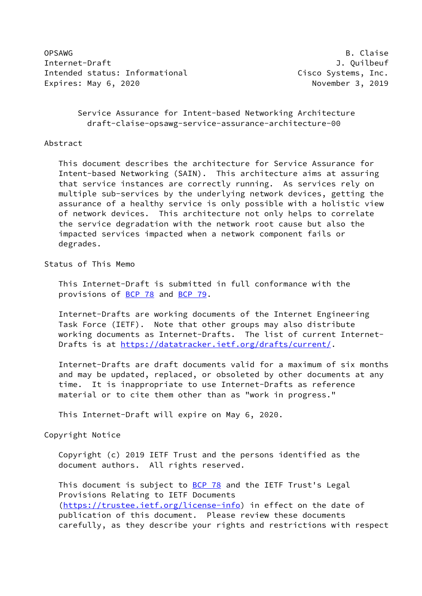OPSAWG B. Claise Internet-Draft J. Quilbeuf Intended status: Informational example of the Cisco Systems, Inc. Expires: May 6, 2020 and the control of the November 3, 2019

# Service Assurance for Intent-based Networking Architecture draft-claise-opsawg-service-assurance-architecture-00

#### Abstract

 This document describes the architecture for Service Assurance for Intent-based Networking (SAIN). This architecture aims at assuring that service instances are correctly running. As services rely on multiple sub-services by the underlying network devices, getting the assurance of a healthy service is only possible with a holistic view of network devices. This architecture not only helps to correlate the service degradation with the network root cause but also the impacted services impacted when a network component fails or degrades.

Status of This Memo

 This Internet-Draft is submitted in full conformance with the provisions of [BCP 78](https://datatracker.ietf.org/doc/pdf/bcp78) and [BCP 79](https://datatracker.ietf.org/doc/pdf/bcp79).

 Internet-Drafts are working documents of the Internet Engineering Task Force (IETF). Note that other groups may also distribute working documents as Internet-Drafts. The list of current Internet- Drafts is at<https://datatracker.ietf.org/drafts/current/>.

 Internet-Drafts are draft documents valid for a maximum of six months and may be updated, replaced, or obsoleted by other documents at any time. It is inappropriate to use Internet-Drafts as reference material or to cite them other than as "work in progress."

This Internet-Draft will expire on May 6, 2020.

Copyright Notice

 Copyright (c) 2019 IETF Trust and the persons identified as the document authors. All rights reserved.

This document is subject to **[BCP 78](https://datatracker.ietf.org/doc/pdf/bcp78)** and the IETF Trust's Legal Provisions Relating to IETF Documents [\(https://trustee.ietf.org/license-info](https://trustee.ietf.org/license-info)) in effect on the date of publication of this document. Please review these documents carefully, as they describe your rights and restrictions with respect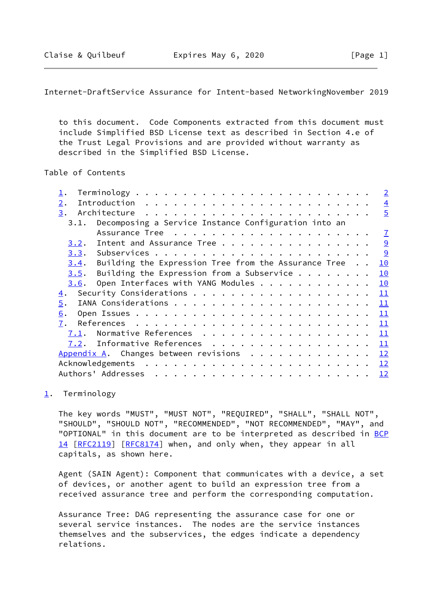<span id="page-1-1"></span>Internet-DraftService Assurance for Intent-based NetworkingNovember 2019

 to this document. Code Components extracted from this document must include Simplified BSD License text as described in Section 4.e of the Trust Legal Provisions and are provided without warranty as described in the Simplified BSD License.

Table of Contents

|                  |                                                           |  |  | $\overline{\phantom{0}}$ 2 |
|------------------|-----------------------------------------------------------|--|--|----------------------------|
| 2.               |                                                           |  |  | $\overline{4}$             |
| 3.               |                                                           |  |  | $\overline{5}$             |
|                  | 3.1. Decomposing a Service Instance Configuration into an |  |  |                            |
|                  |                                                           |  |  | $\mathbf{Z}$               |
| 3.2.             | Intent and Assurance Tree $\frac{9}{2}$                   |  |  |                            |
|                  |                                                           |  |  | $\frac{9}{2}$              |
| 3.4.             | Building the Expression Tree from the Assurance Tree      |  |  | 10                         |
| 3.5.             | Building the Expression from a Subservice $\dots$         |  |  | 10                         |
| 3.6.             | Open Interfaces with YANG Modules                         |  |  | 10                         |
| $\overline{4}$ . |                                                           |  |  | 11                         |
| 5.               |                                                           |  |  | 11                         |
| 6.               |                                                           |  |  | 11                         |
| 7.               |                                                           |  |  | 11                         |
| 7.1.             | Normative References 11                                   |  |  |                            |
| 7.2.             | Informative References 11                                 |  |  |                            |
|                  | Appendix A. Changes between revisions 12                  |  |  |                            |
|                  |                                                           |  |  |                            |
|                  |                                                           |  |  |                            |

<span id="page-1-0"></span>[1](#page-1-0). Terminology

 The key words "MUST", "MUST NOT", "REQUIRED", "SHALL", "SHALL NOT", "SHOULD", "SHOULD NOT", "RECOMMENDED", "NOT RECOMMENDED", "MAY", and "OPTIONAL" in this document are to be interpreted as described in [BCP](https://datatracker.ietf.org/doc/pdf/bcp14) [14](https://datatracker.ietf.org/doc/pdf/bcp14) [[RFC2119\]](https://datatracker.ietf.org/doc/pdf/rfc2119) [\[RFC8174](https://datatracker.ietf.org/doc/pdf/rfc8174)] when, and only when, they appear in all capitals, as shown here.

 Agent (SAIN Agent): Component that communicates with a device, a set of devices, or another agent to build an expression tree from a received assurance tree and perform the corresponding computation.

 Assurance Tree: DAG representing the assurance case for one or several service instances. The nodes are the service instances themselves and the subservices, the edges indicate a dependency relations.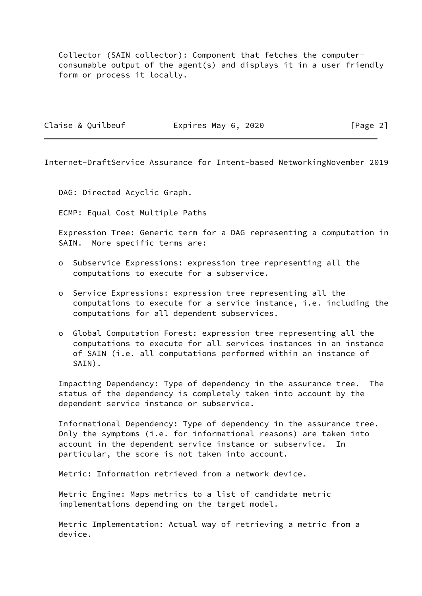Collector (SAIN collector): Component that fetches the computer consumable output of the agent(s) and displays it in a user friendly form or process it locally.

|  | Claise & Quilbeuf | Expires May 6, 2020 |  | [Page 2] |  |
|--|-------------------|---------------------|--|----------|--|
|  |                   |                     |  |          |  |

Internet-DraftService Assurance for Intent-based NetworkingNovember 2019

DAG: Directed Acyclic Graph.

ECMP: Equal Cost Multiple Paths

 Expression Tree: Generic term for a DAG representing a computation in SAIN. More specific terms are:

- o Subservice Expressions: expression tree representing all the computations to execute for a subservice.
- o Service Expressions: expression tree representing all the computations to execute for a service instance, i.e. including the computations for all dependent subservices.
- o Global Computation Forest: expression tree representing all the computations to execute for all services instances in an instance of SAIN (i.e. all computations performed within an instance of SAIN).

 Impacting Dependency: Type of dependency in the assurance tree. The status of the dependency is completely taken into account by the dependent service instance or subservice.

 Informational Dependency: Type of dependency in the assurance tree. Only the symptoms (i.e. for informational reasons) are taken into account in the dependent service instance or subservice. In particular, the score is not taken into account.

Metric: Information retrieved from a network device.

 Metric Engine: Maps metrics to a list of candidate metric implementations depending on the target model.

 Metric Implementation: Actual way of retrieving a metric from a device.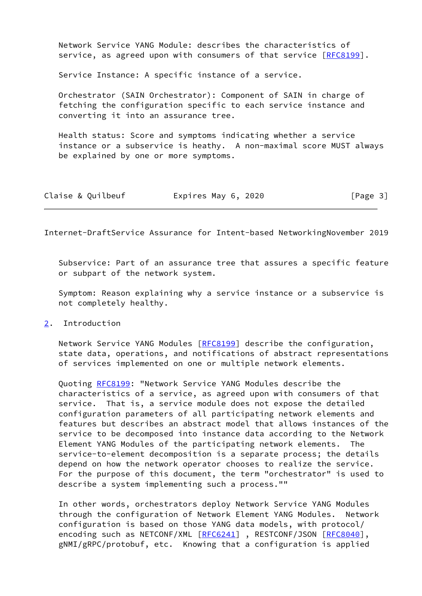Network Service YANG Module: describes the characteristics of service, as agreed upon with consumers of that service [\[RFC8199](https://datatracker.ietf.org/doc/pdf/rfc8199)].

Service Instance: A specific instance of a service.

 Orchestrator (SAIN Orchestrator): Component of SAIN in charge of fetching the configuration specific to each service instance and converting it into an assurance tree.

 Health status: Score and symptoms indicating whether a service instance or a subservice is heathy. A non-maximal score MUST always be explained by one or more symptoms.

| Claise & Quilbeuf | Expires May 6, 2020 | [Page 3] |
|-------------------|---------------------|----------|
|-------------------|---------------------|----------|

<span id="page-3-1"></span>Internet-DraftService Assurance for Intent-based NetworkingNovember 2019

 Subservice: Part of an assurance tree that assures a specific feature or subpart of the network system.

 Symptom: Reason explaining why a service instance or a subservice is not completely healthy.

<span id="page-3-0"></span>[2](#page-3-0). Introduction

 Network Service YANG Modules [\[RFC8199](https://datatracker.ietf.org/doc/pdf/rfc8199)] describe the configuration, state data, operations, and notifications of abstract representations of services implemented on one or multiple network elements.

 Quoting [RFC8199](https://datatracker.ietf.org/doc/pdf/rfc8199): "Network Service YANG Modules describe the characteristics of a service, as agreed upon with consumers of that service. That is, a service module does not expose the detailed configuration parameters of all participating network elements and features but describes an abstract model that allows instances of the service to be decomposed into instance data according to the Network Element YANG Modules of the participating network elements. The service-to-element decomposition is a separate process; the details depend on how the network operator chooses to realize the service. For the purpose of this document, the term "orchestrator" is used to describe a system implementing such a process.""

 In other words, orchestrators deploy Network Service YANG Modules through the configuration of Network Element YANG Modules. Network configuration is based on those YANG data models, with protocol/ encoding such as NETCONF/XML [\[RFC6241](https://datatracker.ietf.org/doc/pdf/rfc6241)], RESTCONF/JSON [\[RFC8040](https://datatracker.ietf.org/doc/pdf/rfc8040)], gNMI/gRPC/protobuf, etc. Knowing that a configuration is applied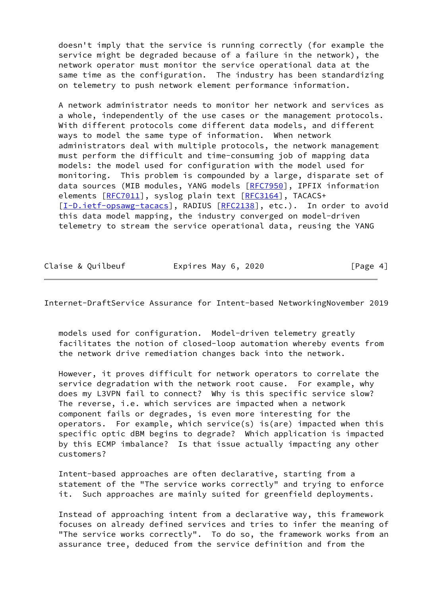doesn't imply that the service is running correctly (for example the service might be degraded because of a failure in the network), the network operator must monitor the service operational data at the same time as the configuration. The industry has been standardizing on telemetry to push network element performance information.

 A network administrator needs to monitor her network and services as a whole, independently of the use cases or the management protocols. With different protocols come different data models, and different ways to model the same type of information. When network administrators deal with multiple protocols, the network management must perform the difficult and time-consuming job of mapping data models: the model used for configuration with the model used for monitoring. This problem is compounded by a large, disparate set of data sources (MIB modules, YANG models [\[RFC7950](https://datatracker.ietf.org/doc/pdf/rfc7950)], IPFIX information elements [\[RFC7011](https://datatracker.ietf.org/doc/pdf/rfc7011)], syslog plain text [[RFC3164](https://datatracker.ietf.org/doc/pdf/rfc3164)], TACACS+ [\[I-D.ietf-opsawg-tacacs](#page-12-2)], RADIUS [\[RFC2138](https://datatracker.ietf.org/doc/pdf/rfc2138)], etc.). In order to avoid this data model mapping, the industry converged on model-driven telemetry to stream the service operational data, reusing the YANG

| Claise & Quilbeuf | Expires May 6, 2020 | [Page 4] |
|-------------------|---------------------|----------|
|-------------------|---------------------|----------|

<span id="page-4-0"></span>Internet-DraftService Assurance for Intent-based NetworkingNovember 2019

 models used for configuration. Model-driven telemetry greatly facilitates the notion of closed-loop automation whereby events from the network drive remediation changes back into the network.

 However, it proves difficult for network operators to correlate the service degradation with the network root cause. For example, why does my L3VPN fail to connect? Why is this specific service slow? The reverse, i.e. which services are impacted when a network component fails or degrades, is even more interesting for the operators. For example, which service(s) is(are) impacted when this specific optic dBM begins to degrade? Which application is impacted by this ECMP imbalance? Is that issue actually impacting any other customers?

 Intent-based approaches are often declarative, starting from a statement of the "The service works correctly" and trying to enforce it. Such approaches are mainly suited for greenfield deployments.

 Instead of approaching intent from a declarative way, this framework focuses on already defined services and tries to infer the meaning of "The service works correctly". To do so, the framework works from an assurance tree, deduced from the service definition and from the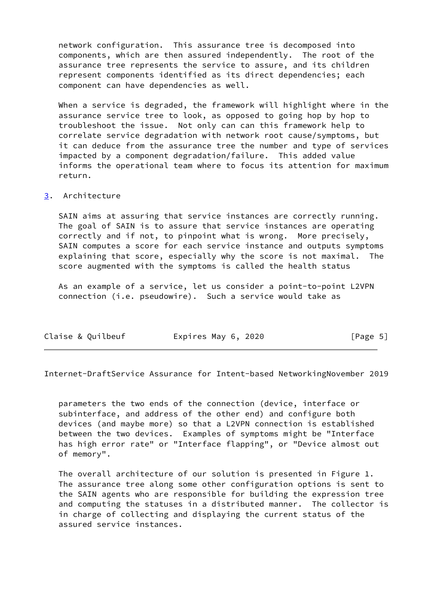network configuration. This assurance tree is decomposed into components, which are then assured independently. The root of the assurance tree represents the service to assure, and its children represent components identified as its direct dependencies; each component can have dependencies as well.

 When a service is degraded, the framework will highlight where in the assurance service tree to look, as opposed to going hop by hop to troubleshoot the issue. Not only can can this framework help to correlate service degradation with network root cause/symptoms, but it can deduce from the assurance tree the number and type of services impacted by a component degradation/failure. This added value informs the operational team where to focus its attention for maximum return.

### <span id="page-5-0"></span>[3](#page-5-0). Architecture

 SAIN aims at assuring that service instances are correctly running. The goal of SAIN is to assure that service instances are operating correctly and if not, to pinpoint what is wrong. More precisely, SAIN computes a score for each service instance and outputs symptoms explaining that score, especially why the score is not maximal. The score augmented with the symptoms is called the health status

 As an example of a service, let us consider a point-to-point L2VPN connection (i.e. pseudowire). Such a service would take as

| Claise & Quilbeuf | Expires May 6, 2020 | [Page 5] |
|-------------------|---------------------|----------|
|-------------------|---------------------|----------|

Internet-DraftService Assurance for Intent-based NetworkingNovember 2019

 parameters the two ends of the connection (device, interface or subinterface, and address of the other end) and configure both devices (and maybe more) so that a L2VPN connection is established between the two devices. Examples of symptoms might be "Interface has high error rate" or "Interface flapping", or "Device almost out of memory".

 The overall architecture of our solution is presented in Figure 1. The assurance tree along some other configuration options is sent to the SAIN agents who are responsible for building the expression tree and computing the statuses in a distributed manner. The collector is in charge of collecting and displaying the current status of the assured service instances.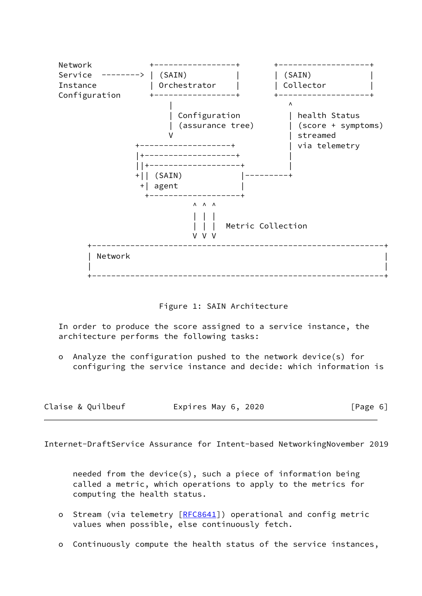

Figure 1: SAIN Architecture

 In order to produce the score assigned to a service instance, the architecture performs the following tasks:

 o Analyze the configuration pushed to the network device(s) for configuring the service instance and decide: which information is

| Claise & Quilbeuf | Expires May 6, 2020 | [Page 6] |
|-------------------|---------------------|----------|
|-------------------|---------------------|----------|

<span id="page-6-0"></span>Internet-DraftService Assurance for Intent-based NetworkingNovember 2019

 needed from the device(s), such a piece of information being called a metric, which operations to apply to the metrics for computing the health status.

- o Stream (via telemetry [\[RFC8641](https://datatracker.ietf.org/doc/pdf/rfc8641)]) operational and config metric values when possible, else continuously fetch.
- o Continuously compute the health status of the service instances,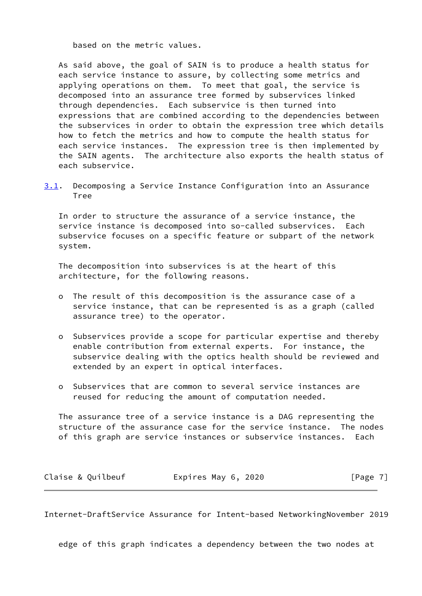based on the metric values.

 As said above, the goal of SAIN is to produce a health status for each service instance to assure, by collecting some metrics and applying operations on them. To meet that goal, the service is decomposed into an assurance tree formed by subservices linked through dependencies. Each subservice is then turned into expressions that are combined according to the dependencies between the subservices in order to obtain the expression tree which details how to fetch the metrics and how to compute the health status for each service instances. The expression tree is then implemented by the SAIN agents. The architecture also exports the health status of each subservice.

<span id="page-7-0"></span>[3.1](#page-7-0). Decomposing a Service Instance Configuration into an Assurance Tree

 In order to structure the assurance of a service instance, the service instance is decomposed into so-called subservices. Each subservice focuses on a specific feature or subpart of the network system.

 The decomposition into subservices is at the heart of this architecture, for the following reasons.

- o The result of this decomposition is the assurance case of a service instance, that can be represented is as a graph (called assurance tree) to the operator.
- o Subservices provide a scope for particular expertise and thereby enable contribution from external experts. For instance, the subservice dealing with the optics health should be reviewed and extended by an expert in optical interfaces.
- o Subservices that are common to several service instances are reused for reducing the amount of computation needed.

 The assurance tree of a service instance is a DAG representing the structure of the assurance case for the service instance. The nodes of this graph are service instances or subservice instances. Each

| Claise & Quilbeuf | Expires May 6, 2020 | [Page 7] |
|-------------------|---------------------|----------|
|-------------------|---------------------|----------|

Internet-DraftService Assurance for Intent-based NetworkingNovember 2019

edge of this graph indicates a dependency between the two nodes at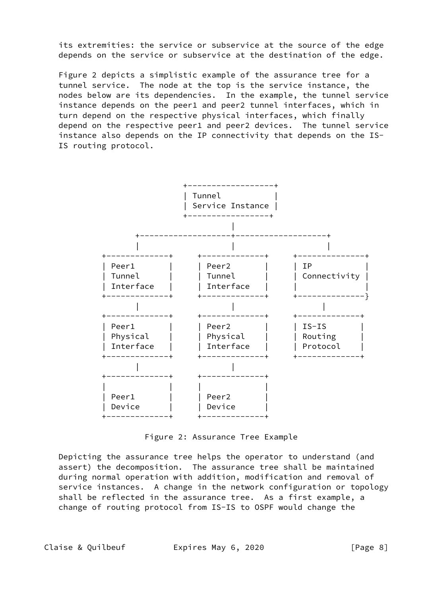its extremities: the service or subservice at the source of the edge depends on the service or subservice at the destination of the edge.

 Figure 2 depicts a simplistic example of the assurance tree for a tunnel service. The node at the top is the service instance, the nodes below are its dependencies. In the example, the tunnel service instance depends on the peer1 and peer2 tunnel interfaces, which in turn depend on the respective physical interfaces, which finally depend on the respective peer1 and peer2 devices. The tunnel service instance also depends on the IP connectivity that depends on the IS- IS routing protocol.



Figure 2: Assurance Tree Example

 Depicting the assurance tree helps the operator to understand (and assert) the decomposition. The assurance tree shall be maintained during normal operation with addition, modification and removal of service instances. A change in the network configuration or topology shall be reflected in the assurance tree. As a first example, a change of routing protocol from IS-IS to OSPF would change the

Claise & Quilbeuf **Expires May 6, 2020** [Page 8]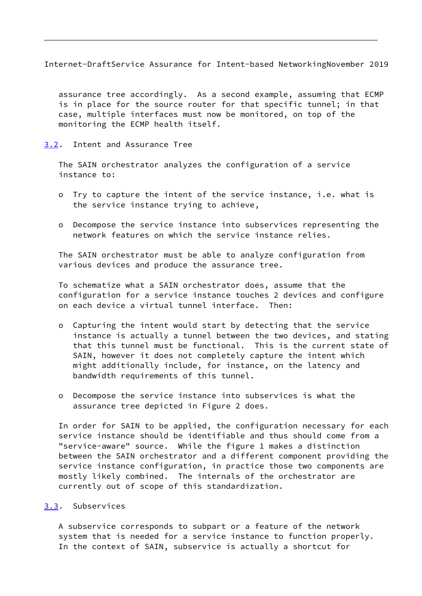<span id="page-9-1"></span>Internet-DraftService Assurance for Intent-based NetworkingNovember 2019

 assurance tree accordingly. As a second example, assuming that ECMP is in place for the source router for that specific tunnel; in that case, multiple interfaces must now be monitored, on top of the monitoring the ECMP health itself.

<span id="page-9-0"></span>[3.2](#page-9-0). Intent and Assurance Tree

 The SAIN orchestrator analyzes the configuration of a service instance to:

- o Try to capture the intent of the service instance, i.e. what is the service instance trying to achieve,
- o Decompose the service instance into subservices representing the network features on which the service instance relies.

 The SAIN orchestrator must be able to analyze configuration from various devices and produce the assurance tree.

 To schematize what a SAIN orchestrator does, assume that the configuration for a service instance touches 2 devices and configure on each device a virtual tunnel interface. Then:

- o Capturing the intent would start by detecting that the service instance is actually a tunnel between the two devices, and stating that this tunnel must be functional. This is the current state of SAIN, however it does not completely capture the intent which might additionally include, for instance, on the latency and bandwidth requirements of this tunnel.
- o Decompose the service instance into subservices is what the assurance tree depicted in Figure 2 does.

 In order for SAIN to be applied, the configuration necessary for each service instance should be identifiable and thus should come from a "service-aware" source. While the figure 1 makes a distinction between the SAIN orchestrator and a different component providing the service instance configuration, in practice those two components are mostly likely combined. The internals of the orchestrator are currently out of scope of this standardization.

## <span id="page-9-2"></span>[3.3](#page-9-2). Subservices

 A subservice corresponds to subpart or a feature of the network system that is needed for a service instance to function properly. In the context of SAIN, subservice is actually a shortcut for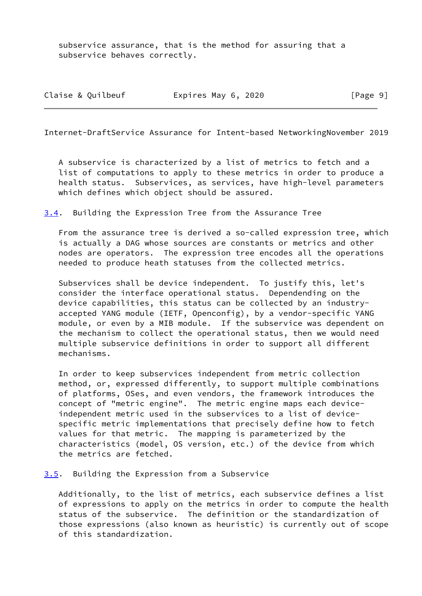subservice assurance, that is the method for assuring that a subservice behaves correctly.

| Claise & Quilbeuf | Expires May 6, 2020 | [Page 9] |
|-------------------|---------------------|----------|
|-------------------|---------------------|----------|

<span id="page-10-1"></span>Internet-DraftService Assurance for Intent-based NetworkingNovember 2019

 A subservice is characterized by a list of metrics to fetch and a list of computations to apply to these metrics in order to produce a health status. Subservices, as services, have high-level parameters which defines which object should be assured.

<span id="page-10-0"></span>[3.4](#page-10-0). Building the Expression Tree from the Assurance Tree

 From the assurance tree is derived a so-called expression tree, which is actually a DAG whose sources are constants or metrics and other nodes are operators. The expression tree encodes all the operations needed to produce heath statuses from the collected metrics.

 Subservices shall be device independent. To justify this, let's consider the interface operational status. Dependending on the device capabilities, this status can be collected by an industry accepted YANG module (IETF, Openconfig), by a vendor-specific YANG module, or even by a MIB module. If the subservice was dependent on the mechanism to collect the operational status, then we would need multiple subservice definitions in order to support all different mechanisms.

 In order to keep subservices independent from metric collection method, or, expressed differently, to support multiple combinations of platforms, OSes, and even vendors, the framework introduces the concept of "metric engine". The metric engine maps each device independent metric used in the subservices to a list of device specific metric implementations that precisely define how to fetch values for that metric. The mapping is parameterized by the characteristics (model, OS version, etc.) of the device from which the metrics are fetched.

### <span id="page-10-2"></span>[3.5](#page-10-2). Building the Expression from a Subservice

 Additionally, to the list of metrics, each subservice defines a list of expressions to apply on the metrics in order to compute the health status of the subservice. The definition or the standardization of those expressions (also known as heuristic) is currently out of scope of this standardization.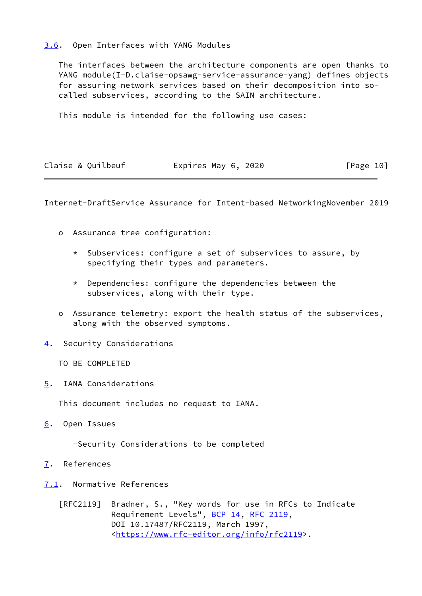# <span id="page-11-0"></span>[3.6](#page-11-0). Open Interfaces with YANG Modules

 The interfaces between the architecture components are open thanks to YANG module(I-D.claise-opsawg-service-assurance-yang) defines objects for assuring network services based on their decomposition into so called subservices, according to the SAIN architecture.

This module is intended for the following use cases:

| Claise & Quilbeuf | Expires May 6, 2020 | [Page 10] |
|-------------------|---------------------|-----------|
|-------------------|---------------------|-----------|

<span id="page-11-2"></span>Internet-DraftService Assurance for Intent-based NetworkingNovember 2019

- o Assurance tree configuration:
	- \* Subservices: configure a set of subservices to assure, by specifying their types and parameters.
	- \* Dependencies: configure the dependencies between the subservices, along with their type.
- o Assurance telemetry: export the health status of the subservices, along with the observed symptoms.
- <span id="page-11-1"></span>[4](#page-11-1). Security Considerations
	- TO BE COMPLETED
- <span id="page-11-3"></span>[5](#page-11-3). IANA Considerations

This document includes no request to IANA.

<span id="page-11-4"></span>[6](#page-11-4). Open Issues

-Security Considerations to be completed

- <span id="page-11-5"></span>[7](#page-11-5). References
- <span id="page-11-6"></span>[7.1](#page-11-6). Normative References

 [RFC2119] Bradner, S., "Key words for use in RFCs to Indicate Requirement Levels", [BCP 14](https://datatracker.ietf.org/doc/pdf/bcp14), [RFC 2119](https://datatracker.ietf.org/doc/pdf/rfc2119), DOI 10.17487/RFC2119, March 1997, <[https://www.rfc-editor.org/info/rfc2119>](https://www.rfc-editor.org/info/rfc2119).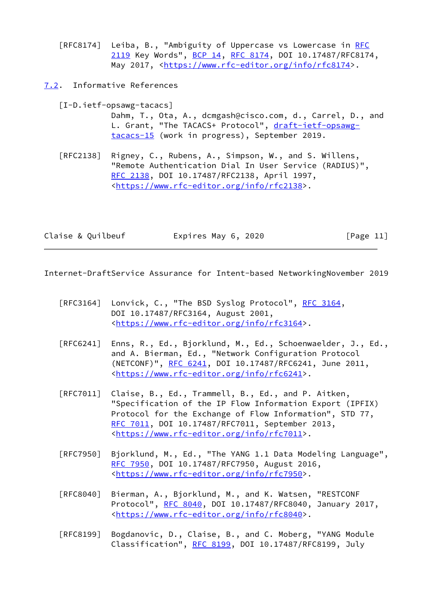[RFC8174] Leiba, B., "Ambiguity of Uppercase vs Lowercase in [RFC](https://datatracker.ietf.org/doc/pdf/rfc2119) [2119](https://datatracker.ietf.org/doc/pdf/rfc2119) Key Words", [BCP 14](https://datatracker.ietf.org/doc/pdf/bcp14), [RFC 8174,](https://datatracker.ietf.org/doc/pdf/rfc8174) DOI 10.17487/RFC8174, May 2017, [<https://www.rfc-editor.org/info/rfc8174](https://www.rfc-editor.org/info/rfc8174)>.

<span id="page-12-0"></span>[7.2](#page-12-0). Informative References

<span id="page-12-2"></span>[I-D.ietf-opsawg-tacacs]

 Dahm, T., Ota, A., dcmgash@cisco.com, d., Carrel, D., and L. Grant, "The TACACS+ Protocol", [draft-ietf-opsawg](https://datatracker.ietf.org/doc/pdf/draft-ietf-opsawg-tacacs-15) [tacacs-15](https://datatracker.ietf.org/doc/pdf/draft-ietf-opsawg-tacacs-15) (work in progress), September 2019.

 [RFC2138] Rigney, C., Rubens, A., Simpson, W., and S. Willens, "Remote Authentication Dial In User Service (RADIUS)", [RFC 2138,](https://datatracker.ietf.org/doc/pdf/rfc2138) DOI 10.17487/RFC2138, April 1997, <[https://www.rfc-editor.org/info/rfc2138>](https://www.rfc-editor.org/info/rfc2138).

Claise & Quilbeuf **Expires May 6, 2020** [Page 11]

<span id="page-12-1"></span>Internet-DraftService Assurance for Intent-based NetworkingNovember 2019

- [RFC3164] Lonvick, C., "The BSD Syslog Protocol", [RFC 3164,](https://datatracker.ietf.org/doc/pdf/rfc3164) DOI 10.17487/RFC3164, August 2001, <[https://www.rfc-editor.org/info/rfc3164>](https://www.rfc-editor.org/info/rfc3164).
- [RFC6241] Enns, R., Ed., Bjorklund, M., Ed., Schoenwaelder, J., Ed., and A. Bierman, Ed., "Network Configuration Protocol (NETCONF)", [RFC 6241,](https://datatracker.ietf.org/doc/pdf/rfc6241) DOI 10.17487/RFC6241, June 2011, <[https://www.rfc-editor.org/info/rfc6241>](https://www.rfc-editor.org/info/rfc6241).
- [RFC7011] Claise, B., Ed., Trammell, B., Ed., and P. Aitken, "Specification of the IP Flow Information Export (IPFIX) Protocol for the Exchange of Flow Information", STD 77, [RFC 7011,](https://datatracker.ietf.org/doc/pdf/rfc7011) DOI 10.17487/RFC7011, September 2013, <[https://www.rfc-editor.org/info/rfc7011>](https://www.rfc-editor.org/info/rfc7011).
- [RFC7950] Bjorklund, M., Ed., "The YANG 1.1 Data Modeling Language", [RFC 7950,](https://datatracker.ietf.org/doc/pdf/rfc7950) DOI 10.17487/RFC7950, August 2016, <[https://www.rfc-editor.org/info/rfc7950>](https://www.rfc-editor.org/info/rfc7950).
- [RFC8040] Bierman, A., Bjorklund, M., and K. Watsen, "RESTCONF Protocol", [RFC 8040](https://datatracker.ietf.org/doc/pdf/rfc8040), DOI 10.17487/RFC8040, January 2017, <[https://www.rfc-editor.org/info/rfc8040>](https://www.rfc-editor.org/info/rfc8040).
- [RFC8199] Bogdanovic, D., Claise, B., and C. Moberg, "YANG Module Classification", [RFC 8199,](https://datatracker.ietf.org/doc/pdf/rfc8199) DOI 10.17487/RFC8199, July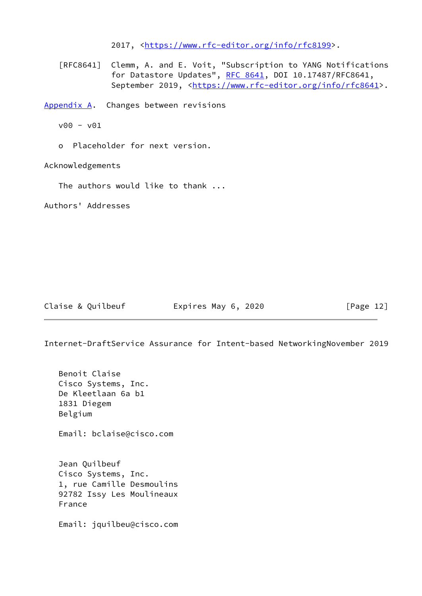2017, [<https://www.rfc-editor.org/info/rfc8199](https://www.rfc-editor.org/info/rfc8199)>.

 [RFC8641] Clemm, A. and E. Voit, "Subscription to YANG Notifications for Datastore Updates", [RFC 8641,](https://datatracker.ietf.org/doc/pdf/rfc8641) DOI 10.17487/RFC8641, September 2019, <[https://www.rfc-editor.org/info/rfc8641>](https://www.rfc-editor.org/info/rfc8641).

<span id="page-13-0"></span>[Appendix A.](#page-13-0) Changes between revisions

v00 - v01

o Placeholder for next version.

Acknowledgements

The authors would like to thank ...

Authors' Addresses

Claise & Quilbeuf **Expires May 6, 2020** [Page 12]

Internet-DraftService Assurance for Intent-based NetworkingNovember 2019

 Benoit Claise Cisco Systems, Inc. De Kleetlaan 6a b1 1831 Diegem Belgium Email: bclaise@cisco.com Jean Quilbeuf

 Cisco Systems, Inc. 1, rue Camille Desmoulins 92782 Issy Les Moulineaux France

Email: jquilbeu@cisco.com